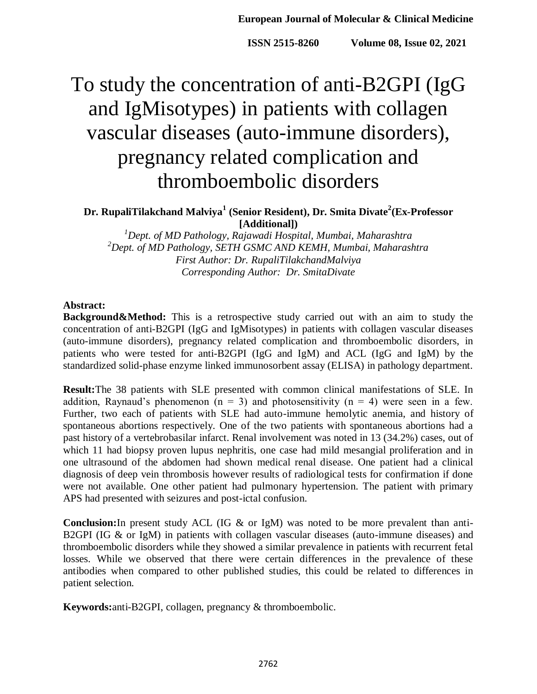# To study the concentration of anti-B2GPI (IgG and IgMisotypes) in patients with collagen vascular diseases (auto-immune disorders), pregnancy related complication and thromboembolic disorders

**Dr. RupaliTilakchand Malviya<sup>1</sup> (Senior Resident), Dr. Smita Divate<sup>2</sup> (Ex-Professor [Additional])**

*<sup>1</sup>Dept. of MD Pathology, Rajawadi Hospital, Mumbai, Maharashtra <sup>2</sup>Dept. of MD Pathology, SETH GSMC AND KEMH, Mumbai, Maharashtra First Author: Dr. RupaliTilakchandMalviya Corresponding Author: Dr. SmitaDivate*

#### **Abstract:**

**Background&Method:** This is a retrospective study carried out with an aim to study the concentration of anti-B2GPI (IgG and IgMisotypes) in patients with collagen vascular diseases (auto-immune disorders), pregnancy related complication and thromboembolic disorders, in patients who were tested for anti-B2GPI (IgG and IgM) and ACL (IgG and IgM) by the standardized solid-phase enzyme linked immunosorbent assay (ELISA) in pathology department.

**Result:**The 38 patients with SLE presented with common clinical manifestations of SLE. In addition, Raynaud's phenomenon ( $n = 3$ ) and photosensitivity ( $n = 4$ ) were seen in a few. Further, two each of patients with SLE had auto-immune hemolytic anemia, and history of spontaneous abortions respectively. One of the two patients with spontaneous abortions had a past history of a vertebrobasilar infarct. Renal involvement was noted in 13 (34.2%) cases, out of which 11 had biopsy proven lupus nephritis, one case had mild mesangial proliferation and in one ultrasound of the abdomen had shown medical renal disease. One patient had a clinical diagnosis of deep vein thrombosis however results of radiological tests for confirmation if done were not available. One other patient had pulmonary hypertension. The patient with primary APS had presented with seizures and post-ictal confusion.

**Conclusion:**In present study ACL (IG & or IgM) was noted to be more prevalent than anti-B2GPI (IG & or IgM) in patients with collagen vascular diseases (auto-immune diseases) and thromboembolic disorders while they showed a similar prevalence in patients with recurrent fetal losses. While we observed that there were certain differences in the prevalence of these antibodies when compared to other published studies, this could be related to differences in patient selection.

**Keywords:**anti-B2GPI, collagen, pregnancy & thromboembolic.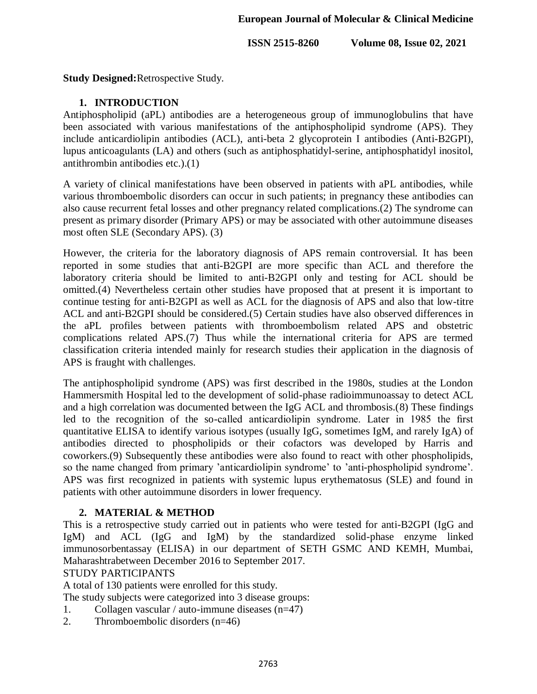# **European Journal of Molecular & Clinical Medicine**

**ISSN 2515-8260** Volume 08, Issue 02, 2021

**Study Designed:**Retrospective Study.

#### **1. INTRODUCTION**

Antiphospholipid (aPL) antibodies are a heterogeneous group of immunoglobulins that have been associated with various manifestations of the antiphospholipid syndrome (APS). They include anticardiolipin antibodies (ACL), anti-beta 2 glycoprotein I antibodies (Anti-B2GPI), lupus anticoagulants (LA) and others (such as antiphosphatidyl-serine, antiphosphatidyl inositol, antithrombin antibodies etc.).(1)

A variety of clinical manifestations have been observed in patients with aPL antibodies, while various thromboembolic disorders can occur in such patients; in pregnancy these antibodies can also cause recurrent fetal losses and other pregnancy related complications.(2) The syndrome can present as primary disorder (Primary APS) or may be associated with other autoimmune diseases most often SLE (Secondary APS). (3)

However, the criteria for the laboratory diagnosis of APS remain controversial. It has been reported in some studies that anti-B2GPI are more specific than ACL and therefore the laboratory criteria should be limited to anti-B2GPI only and testing for ACL should be omitted.(4) Nevertheless certain other studies have proposed that at present it is important to continue testing for anti-B2GPI as well as ACL for the diagnosis of APS and also that low-titre ACL and anti-B2GPI should be considered.(5) Certain studies have also observed differences in the aPL profiles between patients with thromboembolism related APS and obstetric complications related APS.(7) Thus while the international criteria for APS are termed classification criteria intended mainly for research studies their application in the diagnosis of APS is fraught with challenges.

The antiphospholipid syndrome (APS) was first described in the 1980s, studies at the London Hammersmith Hospital led to the development of solid-phase radioimmunoassay to detect ACL and a high correlation was documented between the IgG ACL and thrombosis.(8) These findings led to the recognition of the so-called anticardiolipin syndrome. Later in 1985 the first quantitative ELISA to identify various isotypes (usually IgG, sometimes IgM, and rarely IgA) of antibodies directed to phospholipids or their cofactors was developed by Harris and coworkers.(9) Subsequently these antibodies were also found to react with other phospholipids, so the name changed from primary 'anticardiolipin syndrome' to 'anti-phospholipid syndrome'. APS was first recognized in patients with systemic lupus erythematosus (SLE) and found in patients with other autoimmune disorders in lower frequency.

#### **2. MATERIAL & METHOD**

This is a retrospective study carried out in patients who were tested for anti-B2GPI (IgG and IgM) and ACL (IgG and IgM) by the standardized solid-phase enzyme linked immunosorbentassay (ELISA) in our department of SETH GSMC AND KEMH, Mumbai, Maharashtrabetween December 2016 to September 2017.

#### STUDY PARTICIPANTS

A total of 130 patients were enrolled for this study.

The study subjects were categorized into 3 disease groups:

- 1. Collagen vascular / auto-immune diseases  $(n=47)$
- 2. Thromboembolic disorders (n=46)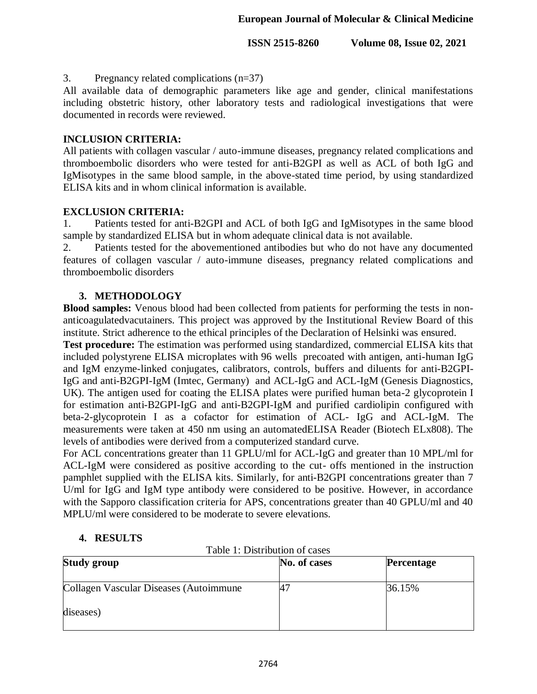### 3. Pregnancy related complications (n=37)

All available data of demographic parameters like age and gender, clinical manifestations including obstetric history, other laboratory tests and radiological investigations that were documented in records were reviewed.

# **INCLUSION CRITERIA:**

All patients with collagen vascular / auto-immune diseases, pregnancy related complications and thromboembolic disorders who were tested for anti-B2GPI as well as ACL of both IgG and IgMisotypes in the same blood sample, in the above-stated time period, by using standardized ELISA kits and in whom clinical information is available.

# **EXCLUSION CRITERIA:**

1. Patients tested for anti-B2GPI and ACL of both IgG and IgMisotypes in the same blood sample by standardized ELISA but in whom adequate clinical data is not available.

2. Patients tested for the abovementioned antibodies but who do not have any documented features of collagen vascular / auto-immune diseases, pregnancy related complications and thromboembolic disorders

# **3. METHODOLOGY**

**Blood samples:** Venous blood had been collected from patients for performing the tests in nonanticoagulatedvacutainers. This project was approved by the Institutional Review Board of this institute. Strict adherence to the ethical principles of the Declaration of Helsinki was ensured.

**Test procedure:** The estimation was performed using standardized, commercial ELISA kits that included polystyrene ELISA microplates with 96 wells precoated with antigen, anti-human IgG and IgM enzyme-linked conjugates, calibrators, controls, buffers and diluents for anti-B2GPI-IgG and anti-B2GPI-IgM (Imtec, Germany) and ACL-IgG and ACL-IgM (Genesis Diagnostics, UK). The antigen used for coating the ELISA plates were purified human beta-2 glycoprotein I for estimation anti-B2GPI-IgG and anti-B2GPI-IgM and purified cardiolipin configured with beta-2-glycoprotein I as a cofactor for estimation of ACL- IgG and ACL-IgM. The measurements were taken at 450 nm using an automatedELISA Reader (Biotech ELx808). The levels of antibodies were derived from a computerized standard curve.

For ACL concentrations greater than 11 GPLU/ml for ACL-IgG and greater than 10 MPL/ml for ACL-IgM were considered as positive according to the cut- offs mentioned in the instruction pamphlet supplied with the ELISA kits. Similarly, for anti-B2GPI concentrations greater than 7 U/ml for IgG and IgM type antibody were considered to be positive. However, in accordance with the Sapporo classification criteria for APS, concentrations greater than 40 GPLU/ml and 40 MPLU/ml were considered to be moderate to severe elevations.

#### **4. RESULTS**

Table 1: Distribution of cases

| Study group                            | No. of cases | <b>Percentage</b> |
|----------------------------------------|--------------|-------------------|
| Collagen Vascular Diseases (Autoimmune | 47           | 36.15%            |
| diseases)                              |              |                   |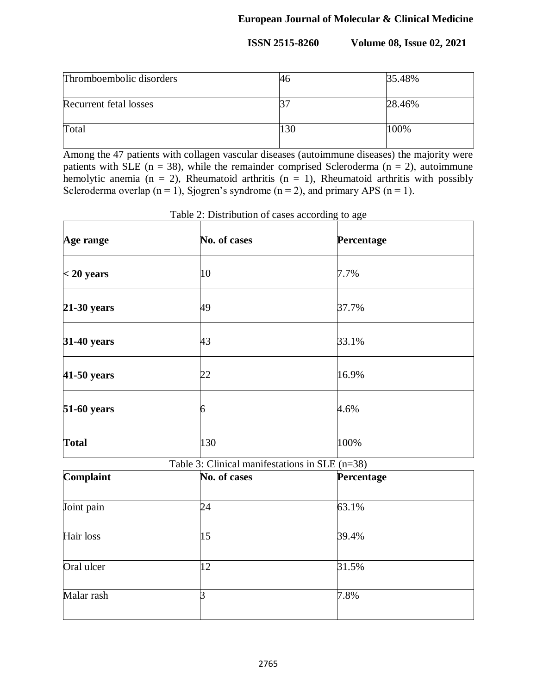| Thromboembolic disorders | 46  | 35.48% |
|--------------------------|-----|--------|
| Recurrent fetal losses   |     | 28.46% |
| Total                    | 130 | 100%   |

Among the 47 patients with collagen vascular diseases (autoimmune diseases) the majority were patients with SLE ( $n = 38$ ), while the remainder comprised Scleroderma ( $n = 2$ ), autoimmune hemolytic anemia (n = 2), Rheumatoid arthritis (n = 1), Rheumatoid arthritis with possibly Scleroderma overlap ( $n = 1$ ), Sjogren's syndrome ( $n = 2$ ), and primary APS ( $n = 1$ ).

| Age range     | No. of cases                                   | Percentage |
|---------------|------------------------------------------------|------------|
| $<$ 20 years  | 10                                             | 7.7%       |
| $21-30$ years | 49                                             | 37.7%      |
| 31-40 years   | 43                                             | 33.1%      |
| 41-50 years   | 22                                             | 16.9%      |
| 51-60 years   | 6                                              | 4.6%       |
| <b>Total</b>  | 130                                            | 100%       |
|               | Table 3: Clinical manifestations in SLE (n=38) |            |
| Complaint     | No. of cases                                   | Percentage |
| Joint pain    | 24                                             | 63.1%      |
| Hair loss     | 15                                             | 39.4%      |
| Oral ulcer    | 12                                             | 31.5%      |
| Malar rash    | $\overline{3}$                                 | 7.8%       |

Table 2: Distribution of cases according to age

 $\mathbf{I}$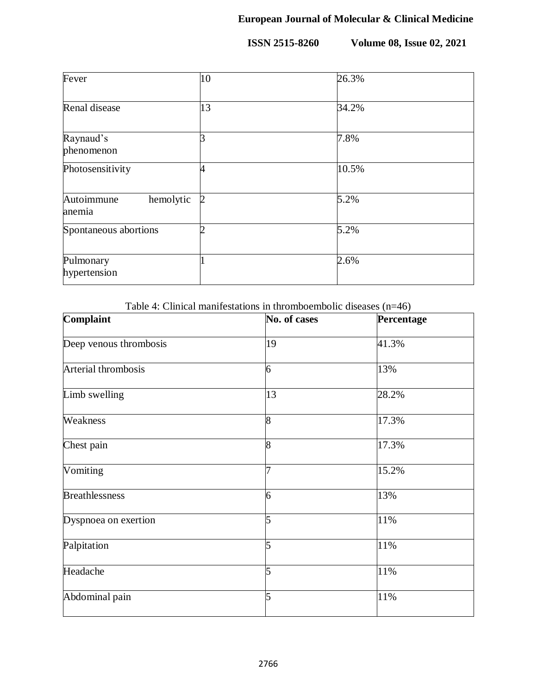| Fever                             | 10             | 26.3% |
|-----------------------------------|----------------|-------|
| Renal disease                     | 13             | 34.2% |
| Raynaud's<br>phenomenon           |                | 7.8%  |
| Photosensitivity                  |                | 10.5% |
| Autoimmune<br>hemolytic<br>anemia | $\overline{2}$ | 5.2%  |
| Spontaneous abortions             |                | 5.2%  |
| Pulmonary<br>hypertension         |                | 2.6%  |

Table 4: Clinical manifestations in thromboembolic diseases (n=46)

| Complaint              | No. of cases   | Percentage |
|------------------------|----------------|------------|
| Deep venous thrombosis | 19             | 41.3%      |
| Arterial thrombosis    | 6              | 13%        |
| Limb swelling          | 13             | 28.2%      |
| Weakness               | $\overline{8}$ | 17.3%      |
| Chest pain             | 8              | 17.3%      |
| Vomiting               | 7              | 15.2%      |
| <b>Breathlessness</b>  | 6              | 13%        |
| Dyspnoea on exertion   | 5              | 11%        |
| Palpitation            | 5              | 11%        |
| Headache               | 5              | 11%        |
| Abdominal pain         | 5              | 11%        |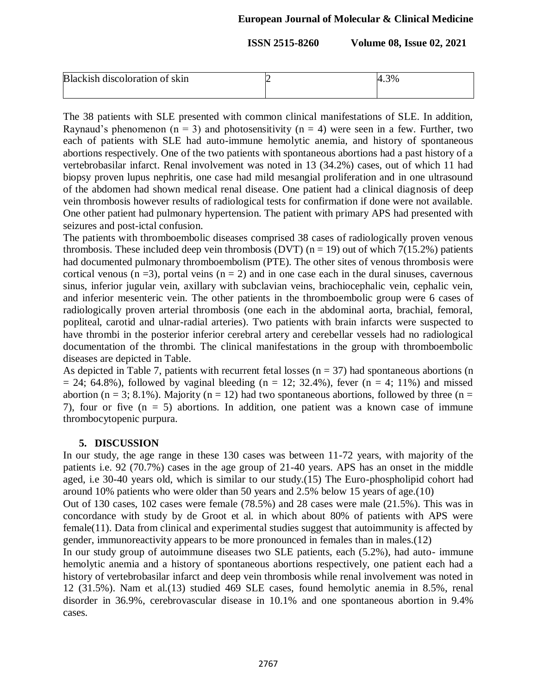# **European Journal of Molecular & Clinical Medicine**

**ISSN 2515-8260** Volume 08, Issue 02, 2021

| Blackish discoloration of skin | 4.3% |
|--------------------------------|------|
|                                |      |

The 38 patients with SLE presented with common clinical manifestations of SLE. In addition, Raynaud's phenomenon ( $n = 3$ ) and photosensitivity ( $n = 4$ ) were seen in a few. Further, two each of patients with SLE had auto-immune hemolytic anemia, and history of spontaneous abortions respectively. One of the two patients with spontaneous abortions had a past history of a vertebrobasilar infarct. Renal involvement was noted in 13 (34.2%) cases, out of which 11 had biopsy proven lupus nephritis, one case had mild mesangial proliferation and in one ultrasound of the abdomen had shown medical renal disease. One patient had a clinical diagnosis of deep vein thrombosis however results of radiological tests for confirmation if done were not available. One other patient had pulmonary hypertension. The patient with primary APS had presented with seizures and post-ictal confusion.

The patients with thromboembolic diseases comprised 38 cases of radiologically proven venous thrombosis. These included deep vein thrombosis (DVT) ( $n = 19$ ) out of which 7(15.2%) patients had documented pulmonary thromboembolism (PTE). The other sites of venous thrombosis were cortical venous ( $n = 3$ ), portal veins ( $n = 2$ ) and in one case each in the dural sinuses, cavernous sinus, inferior jugular vein, axillary with subclavian veins, brachiocephalic vein, cephalic vein, and inferior mesenteric vein. The other patients in the thromboembolic group were 6 cases of radiologically proven arterial thrombosis (one each in the abdominal aorta, brachial, femoral, popliteal, carotid and ulnar-radial arteries). Two patients with brain infarcts were suspected to have thrombi in the posterior inferior cerebral artery and cerebellar vessels had no radiological documentation of the thrombi. The clinical manifestations in the group with thromboembolic diseases are depicted in Table.

As depicted in Table 7, patients with recurrent fetal losses ( $n = 37$ ) had spontaneous abortions (n  $= 24$ ; 64.8%), followed by vaginal bleeding (n = 12; 32.4%), fever (n = 4; 11%) and missed abortion ( $n = 3$ ; 8.1%). Majority ( $n = 12$ ) had two spontaneous abortions, followed by three ( $n =$ 7), four or five  $(n = 5)$  abortions. In addition, one patient was a known case of immune thrombocytopenic purpura.

#### **5. DISCUSSION**

In our study, the age range in these 130 cases was between 11-72 years, with majority of the patients i.e. 92 (70.7%) cases in the age group of 21-40 years. APS has an onset in the middle aged, i.e 30-40 years old, which is similar to our study.(15) The Euro-phospholipid cohort had around 10% patients who were older than 50 years and 2.5% below 15 years of age.(10)

Out of 130 cases, 102 cases were female (78.5%) and 28 cases were male (21.5%). This was in concordance with study by de Groot et al. in which about 80% of patients with APS were female(11). Data from clinical and experimental studies suggest that autoimmunity is affected by gender, immunoreactivity appears to be more pronounced in females than in males.(12)

In our study group of autoimmune diseases two SLE patients, each (5.2%), had auto- immune hemolytic anemia and a history of spontaneous abortions respectively, one patient each had a history of vertebrobasilar infarct and deep vein thrombosis while renal involvement was noted in 12 (31.5%). Nam et al.(13) studied 469 SLE cases, found hemolytic anemia in 8.5%, renal disorder in 36.9%, cerebrovascular disease in 10.1% and one spontaneous abortion in 9.4% cases.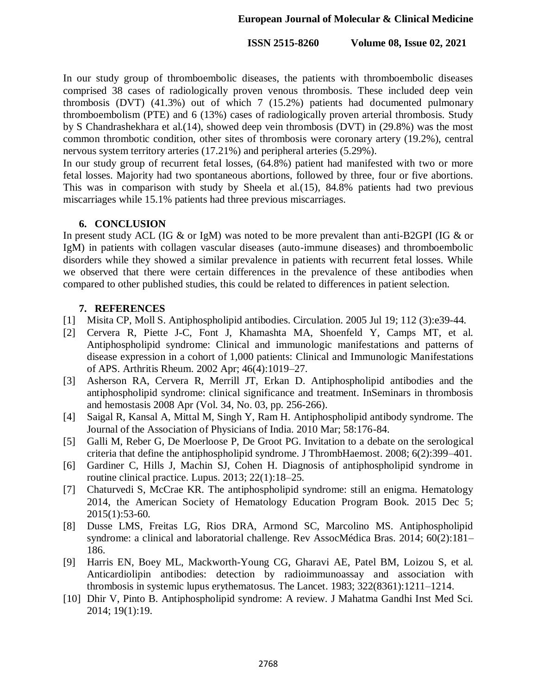In our study group of thromboembolic diseases, the patients with thromboembolic diseases comprised 38 cases of radiologically proven venous thrombosis. These included deep vein thrombosis (DVT) (41.3%) out of which 7 (15.2%) patients had documented pulmonary thromboembolism (PTE) and 6 (13%) cases of radiologically proven arterial thrombosis. Study by S Chandrashekhara et al.(14), showed deep vein thrombosis (DVT) in (29.8%) was the most common thrombotic condition, other sites of thrombosis were coronary artery (19.2%), central nervous system territory arteries (17.21%) and peripheral arteries (5.29%).

In our study group of recurrent fetal losses, (64.8%) patient had manifested with two or more fetal losses. Majority had two spontaneous abortions, followed by three, four or five abortions. This was in comparison with study by Sheela et al.(15), 84.8% patients had two previous miscarriages while 15.1% patients had three previous miscarriages.

# **6. CONCLUSION**

In present study ACL (IG & or IgM) was noted to be more prevalent than anti-B2GPI (IG & or IgM) in patients with collagen vascular diseases (auto-immune diseases) and thromboembolic disorders while they showed a similar prevalence in patients with recurrent fetal losses. While we observed that there were certain differences in the prevalence of these antibodies when compared to other published studies, this could be related to differences in patient selection.

# **7. REFERENCES**

- [1] Misita CP, Moll S. Antiphospholipid antibodies. Circulation. 2005 Jul 19; 112 (3):e39-44.
- [2] Cervera R, Piette J-C, Font J, Khamashta MA, Shoenfeld Y, Camps MT, et al. Antiphospholipid syndrome: Clinical and immunologic manifestations and patterns of disease expression in a cohort of 1,000 patients: Clinical and Immunologic Manifestations of APS. Arthritis Rheum. 2002 Apr; 46(4):1019–27.
- [3] Asherson RA, Cervera R, Merrill JT, Erkan D. Antiphospholipid antibodies and the antiphospholipid syndrome: clinical significance and treatment. InSeminars in thrombosis and hemostasis 2008 Apr (Vol. 34, No. 03, pp. 256-266).
- [4] Saigal R, Kansal A, Mittal M, Singh Y, Ram H. Antiphospholipid antibody syndrome. The Journal of the Association of Physicians of India. 2010 Mar; 58:176-84.
- [5] Galli M, Reber G, De Moerloose P, De Groot PG. Invitation to a debate on the serological criteria that define the antiphospholipid syndrome. J ThrombHaemost. 2008; 6(2):399–401.
- [6] Gardiner C, Hills J, Machin SJ, Cohen H. Diagnosis of antiphospholipid syndrome in routine clinical practice. Lupus. 2013; 22(1):18–25.
- [7] Chaturvedi S, McCrae KR. The antiphospholipid syndrome: still an enigma. Hematology 2014, the American Society of Hematology Education Program Book. 2015 Dec 5; 2015(1):53-60.
- [8] Dusse LMS, Freitas LG, Rios DRA, Armond SC, Marcolino MS. Antiphospholipid syndrome: a clinical and laboratorial challenge. Rev AssocMédica Bras. 2014; 60(2):181– 186.
- [9] Harris EN, Boey ML, Mackworth-Young CG, Gharavi AE, Patel BM, Loizou S, et al. Anticardiolipin antibodies: detection by radioimmunoassay and association with thrombosis in systemic lupus erythematosus. The Lancet. 1983; 322(8361):1211–1214.
- [10] Dhir V, Pinto B. Antiphospholipid syndrome: A review. J Mahatma Gandhi Inst Med Sci. 2014; 19(1):19.